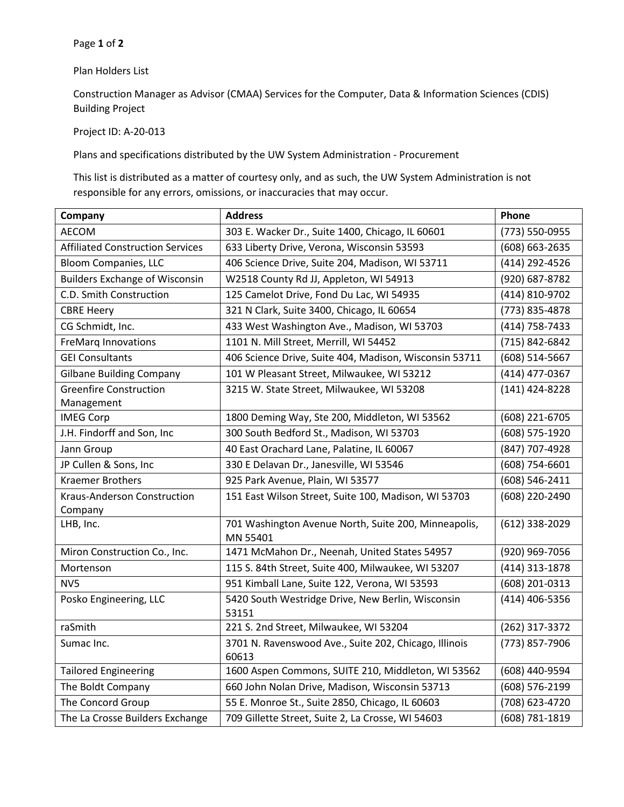## Page **1** of **2**

Plan Holders List

Construction Manager as Advisor (CMAA) Services for the Computer, Data & Information Sciences (CDIS) Building Project

Project ID: A-20-013

Plans and specifications distributed by the UW System Administration - Procurement

This list is distributed as a matter of courtesy only, and as such, the UW System Administration is not responsible for any errors, omissions, or inaccuracies that may occur.

| Company                                 | <b>Address</b>                                                   | Phone              |
|-----------------------------------------|------------------------------------------------------------------|--------------------|
| <b>AECOM</b>                            | 303 E. Wacker Dr., Suite 1400, Chicago, IL 60601                 | (773) 550-0955     |
| <b>Affiliated Construction Services</b> | 633 Liberty Drive, Verona, Wisconsin 53593                       | $(608) 663 - 2635$ |
| <b>Bloom Companies, LLC</b>             | 406 Science Drive, Suite 204, Madison, WI 53711                  | (414) 292-4526     |
| <b>Builders Exchange of Wisconsin</b>   | W2518 County Rd JJ, Appleton, WI 54913                           | (920) 687-8782     |
| C.D. Smith Construction                 | 125 Camelot Drive, Fond Du Lac, WI 54935                         | (414) 810-9702     |
| <b>CBRE Heery</b>                       | 321 N Clark, Suite 3400, Chicago, IL 60654                       | (773) 835-4878     |
| CG Schmidt, Inc.                        | 433 West Washington Ave., Madison, WI 53703                      | (414) 758-7433     |
| <b>FreMarq Innovations</b>              | 1101 N. Mill Street, Merrill, WI 54452                           | (715) 842-6842     |
| <b>GEI Consultants</b>                  | 406 Science Drive, Suite 404, Madison, Wisconsin 53711           | (608) 514-5667     |
| <b>Gilbane Building Company</b>         | 101 W Pleasant Street, Milwaukee, WI 53212                       | (414) 477-0367     |
| <b>Greenfire Construction</b>           | 3215 W. State Street, Milwaukee, WI 53208                        | (141) 424-8228     |
| Management<br><b>IMEG Corp</b>          | 1800 Deming Way, Ste 200, Middleton, WI 53562                    | (608) 221-6705     |
| J.H. Findorff and Son, Inc              | 300 South Bedford St., Madison, WI 53703                         | (608) 575-1920     |
| Jann Group                              | 40 East Orachard Lane, Palatine, IL 60067                        | (847) 707-4928     |
| JP Cullen & Sons, Inc                   | 330 E Delavan Dr., Janesville, WI 53546                          | (608) 754-6601     |
| <b>Kraemer Brothers</b>                 | 925 Park Avenue, Plain, WI 53577                                 | (608) 546-2411     |
| <b>Kraus-Anderson Construction</b>      | 151 East Wilson Street, Suite 100, Madison, WI 53703             | (608) 220-2490     |
| Company                                 |                                                                  |                    |
| LHB, Inc.                               | 701 Washington Avenue North, Suite 200, Minneapolis,<br>MN 55401 | (612) 338-2029     |
| Miron Construction Co., Inc.            | 1471 McMahon Dr., Neenah, United States 54957                    | (920) 969-7056     |
| Mortenson                               | 115 S. 84th Street, Suite 400, Milwaukee, WI 53207               | (414) 313-1878     |
| NV5                                     | 951 Kimball Lane, Suite 122, Verona, WI 53593                    | (608) 201-0313     |
| Posko Engineering, LLC                  | 5420 South Westridge Drive, New Berlin, Wisconsin<br>53151       | (414) 406-5356     |
| raSmith                                 | 221 S. 2nd Street, Milwaukee, WI 53204                           | (262) 317-3372     |
| Sumac Inc.                              | 3701 N. Ravenswood Ave., Suite 202, Chicago, Illinois<br>60613   | (773) 857-7906     |
| <b>Tailored Engineering</b>             | 1600 Aspen Commons, SUITE 210, Middleton, WI 53562               | (608) 440-9594     |
| The Boldt Company                       | 660 John Nolan Drive, Madison, Wisconsin 53713                   | (608) 576-2199     |
| The Concord Group                       | 55 E. Monroe St., Suite 2850, Chicago, IL 60603                  | (708) 623-4720     |
| The La Crosse Builders Exchange         | 709 Gillette Street, Suite 2, La Crosse, WI 54603                | (608) 781-1819     |